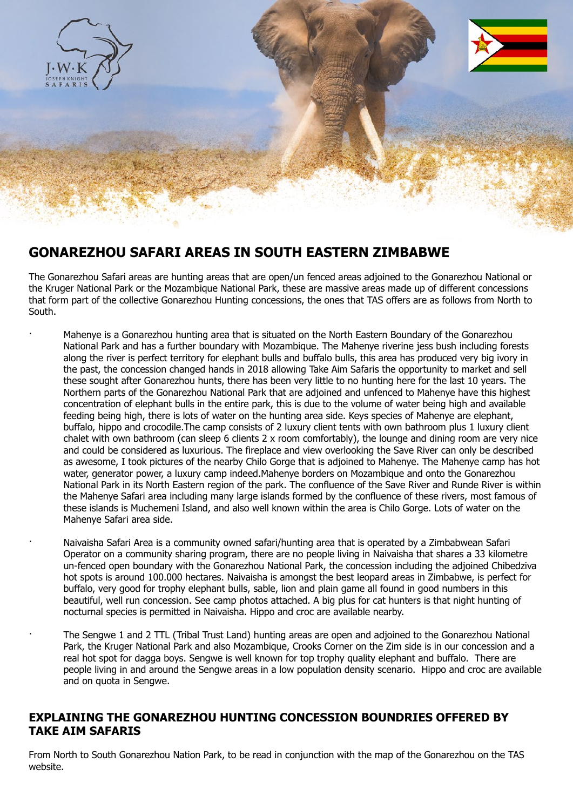

# **GONAREZHOU SAFARI AREAS IN SOUTH EASTERN ZIMBABWE**

The Gonarezhou Safari areas are hunting areas that are open/un fenced areas adjoined to the Gonarezhou National or the Kruger National Park or the Mozambique National Park, these are massive areas made up of different concessions that form part of the collective Gonarezhou Hunting concessions, the ones that TAS offers are as follows from North to South.

- · Mahenye is a Gonarezhou hunting area that is situated on the North Eastern Boundary of the Gonarezhou National Park and has a further boundary with Mozambique. The Mahenye riverine jess bush including forests along the river is perfect territory for elephant bulls and buffalo bulls, this area has produced very big ivory in the past, the concession changed hands in 2018 allowing Take Aim Safaris the opportunity to market and sell these sought after Gonarezhou hunts, there has been very little to no hunting here for the last 10 years. The Northern parts of the Gonarezhou National Park that are adjoined and unfenced to Mahenye have this highest concentration of elephant bulls in the entire park, this is due to the volume of water being high and available feeding being high, there is lots of water on the hunting area side. Keys species of Mahenye are elephant, buffalo, hippo and crocodile.The camp consists of 2 luxury client tents with own bathroom plus 1 luxury client chalet with own bathroom (can sleep 6 clients 2 x room comfortably), the lounge and dining room are very nice and could be considered as luxurious. The fireplace and view overlooking the Save River can only be described as awesome, I took pictures of the nearby Chilo Gorge that is adjoined to Mahenye. The Mahenye camp has hot water, generator power, a luxury camp indeed.Mahenye borders on Mozambique and onto the Gonarezhou National Park in its North Eastern region of the park. The confluence of the Save River and Runde River is within the Mahenye Safari area including many large islands formed by the confluence of these rivers, most famous of these islands is Muchemeni Island, and also well known within the area is Chilo Gorge. Lots of water on the Mahenye Safari area side.
	- · Naivaisha Safari Area is a community owned safari/hunting area that is operated by a Zimbabwean Safari Operator on a community sharing program, there are no people living in Naivaisha that shares a 33 kilometre un-fenced open boundary with the Gonarezhou National Park, the concession including the adjoined Chibedziva hot spots is around 100.000 hectares. Naivaisha is amongst the best leopard areas in Zimbabwe, is perfect for buffalo, very good for trophy elephant bulls, sable, lion and plain game all found in good numbers in this beautiful, well run concession. See camp photos attached. A big plus for cat hunters is that night hunting of nocturnal species is permitted in Naivaisha. Hippo and croc are available nearby.
	- · The Sengwe 1 and 2 TTL (Tribal Trust Land) hunting areas are open and adjoined to the Gonarezhou National Park, the Kruger National Park and also Mozambique, Crooks Corner on the Zim side is in our concession and a real hot spot for dagga boys. Sengwe is well known for top trophy quality elephant and buffalo. There are people living in and around the Sengwe areas in a low population density scenario. Hippo and croc are available and on quota in Sengwe.

### **EXPLAINING THE GONAREZHOU HUNTING CONCESSION BOUNDRIES OFFERED BY TAKE AIM SAFARIS**

From North to South Gonarezhou Nation Park, to be read in conjunction with the map of the Gonarezhou on the TAS website.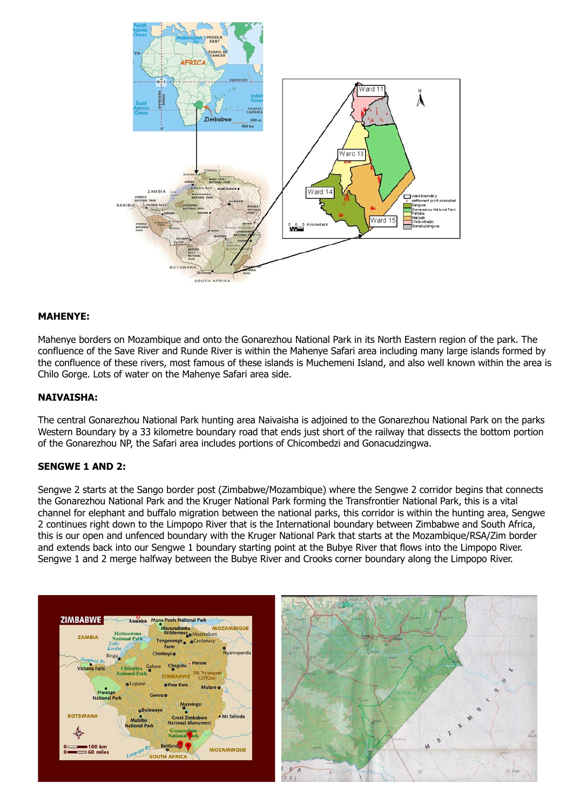

### **MAHENYE:**

Mahenye borders on Mozambique and onto the Gonarezhou National Park in its North Eastern region of the park. The confluence of the Save River and Runde River is within the Mahenye Safari area including many large islands formed by the confluence of these rivers, most famous of these islands is Muchemeni Island, and also well known within the area is Chilo Gorge. Lots of water on the Mahenye Safari area side.

### **NAIVAISHA:**

The central Gonarezhou National Park hunting area Naivaisha is adjoined to the Gonarezhou National Park on the parks Western Boundary by a 33 kilometre boundary road that ends just short of the railway that dissects the bottom portion of the Gonarezhou NP, the Safari area includes portions of Chicombedzi and Gonacudzingwa.

#### **SENGWE 1 AND 2:**

Sengwe 2 starts at the Sango border post (Zimbabwe/Mozambique) where the Sengwe 2 corridor begins that connects the Gonarezhou National Park and the Kruger National Park forming the Transfrontier National Park, this is a vital channel for elephant and buffalo migration between the national parks, this corridor is within the hunting area, Sengwe 2 continues right down to the Limpopo River that is the International boundary between Zimbabwe and South Africa, this is our open and unfenced boundary with the Kruger National Park that starts at the Mozambique/RSA/Zim border and extends back into our Sengwe 1 boundary starting point at the Bubye River that flows into the Limpopo River. Sengwe 1 and 2 merge halfway between the Bubye River and Crooks corner boundary along the Limpopo River.



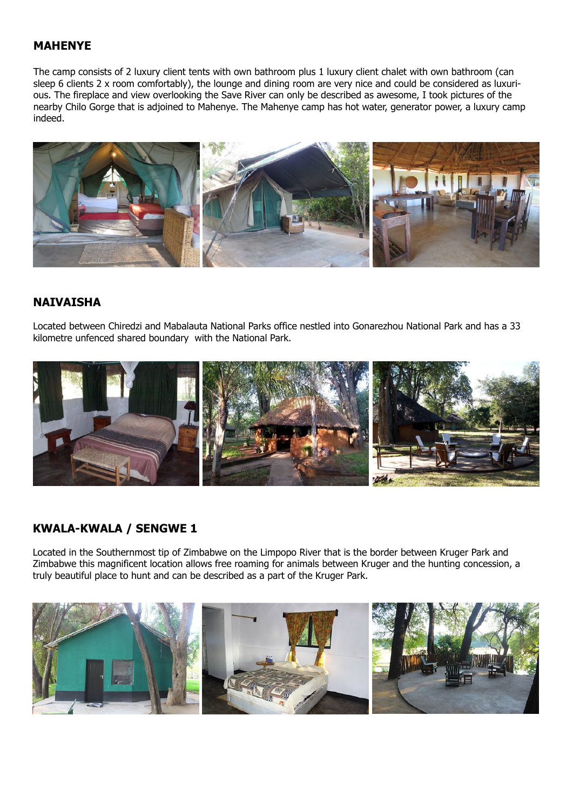## **MAHENYE**

The camp consists of 2 luxury client tents with own bathroom plus 1 luxury client chalet with own bathroom (can sleep 6 clients 2 x room comfortably), the lounge and dining room are very nice and could be considered as luxurious. The fireplace and view overlooking the Save River can only be described as awesome, I took pictures of the nearby Chilo Gorge that is adjoined to Mahenye. The Mahenye camp has hot water, generator power, a luxury camp indeed.



## **NAIVAISHA**

Located between Chiredzi and Mabalauta National Parks office nestled into Gonarezhou National Park and has a 33 kilometre unfenced shared boundary with the National Park.



## **KWALA-KWALA / SENGWE 1**

Located in the Southernmost tip of Zimbabwe on the Limpopo River that is the border between Kruger Park and Zimbabwe this magnificent location allows free roaming for animals between Kruger and the hunting concession, a truly beautiful place to hunt and can be described as a part of the Kruger Park.